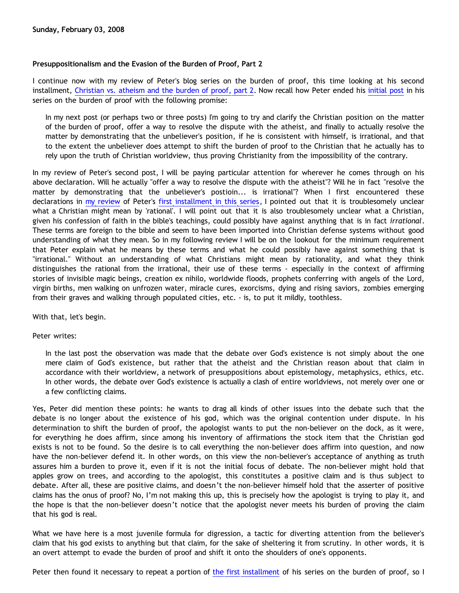# **Presuppositionalism and the Evasion of the Burden of Proof, Part 2**

I continue now with my review of Peter's blog series on the burden of proof, this time looking at his second installment, [Christian vs. atheism and the burden of proof, part 2.](http://gregbahnsen.blogspot.com/2007/06/christianity-vs-atheism-and-burden-of_25.html) Now recall how Peter ended his [initial post](http://gregbahnsen.blogspot.com/2007/06/christianity-vs-atheism-and-burden-of.html) in his series on the burden of proof with the following promise:

In my next post (or perhaps two or three posts) I'm going to try and clarify the Christian position on the matter of the burden of proof, offer a way to resolve the dispute with the atheist, and finally to actually resolve the matter by demonstrating that the unbeliever's position, if he is consistent with himself, is irrational, and that to the extent the unbeliever does attempt to shift the burden of proof to the Christian that he actually has to rely upon the truth of Christian worldview, thus proving Christianity from the impossibility of the contrary.

In my review of Peter's second post, I will be paying particular attention for wherever he comes through on his above declaration. Will he actually "offer a way to resolve the dispute with the atheist"? Will he in fact "resolve the matter by demonstrating that the unbeliever's postioin... is irrational"? When I first encountered these declarations in [my review](http://bahnsenburner.blogspot.com/2008/02/presuppositionalism-and-evasion-of.html) of Peter's [first installment in this series](http://gregbahnsen.blogspot.com/2007/06/christianity-vs-atheism-and-burden-of.html), I pointed out that it is troublesomely unclear what a Christian might mean by 'rational'. I will point out that it is also troublesomely unclear what a Christian, given his confession of faith in the bible's teachings, could possibly have against anything that is in fact *irrational*. These terms are foreign to the bible and seem to have been imported into Christian defense systems without good understanding of what they mean. So in my following review I will be on the lookout for the minimum requirement that Peter explain what he means by these terms and what he could possibly have against something that is "irrational." Without an understanding of what Christians might mean by rationality, and what they think distinguishes the rational from the irrational, their use of these terms - especially in the context of affirming stories of invisible magic beings, creation ex nihilo, worldwide floods, prophets conferring with angels of the Lord, virgin births, men walking on unfrozen water, miracle cures, exorcisms, dying and rising saviors, zombies emerging from their graves and walking through populated cities, etc. - is, to put it mildly, toothless.

With that, let's begin.

Peter writes:

In the last post the observation was made that the debate over God's existence is not simply about the one mere claim of God's existence, but rather that the atheist and the Christian reason about that claim in accordance with their worldview, a network of presuppositions about epistemology, metaphysics, ethics, etc. In other words, the debate over God's existence is actually a clash of entire worldviews, not merely over one or a few conflicting claims.

Yes, Peter did mention these points: he wants to drag all kinds of other issues into the debate such that the debate is no longer about the existence of his god, which was the original contention under dispute. In his determination to shift the burden of proof, the apologist wants to put the non-believer on the dock, as it were, for everything he does affirm, since among his inventory of affirmations the stock item that the Christian god exists is not to be found. So the desire is to call everything the non-believer does affirm into question, and now have the non-believer defend it. In other words, on this view the non-believer's acceptance of anything as truth assures him a burden to prove it, even if it is not the initial focus of debate. The non-believer might hold that apples grow on trees, and according to the apologist, this constitutes a positive claim and is thus subject to debate. After all, these are positive claims, and doesn't the non-believer himself hold that the asserter of positive claims has the onus of proof? No, I'm not making this up, this is precisely how the apologist is trying to play it, and the hope is that the non-believer doesn't notice that the apologist never meets his burden of proving the claim that his god is real.

What we have here is a most juvenile formula for digression, a tactic for diverting attention from the believer's claim that his god exists to anything but that claim, for the sake of sheltering it from scrutiny. In other words, it is an overt attempt to evade the burden of proof and shift it onto the shoulders of one's opponents.

Peter then found it necessary to repeat a portion of [the first installment](http://gregbahnsen.blogspot.com/2007/06/christianity-vs-atheism-and-burden-of.html) of his series on the burden of proof, so I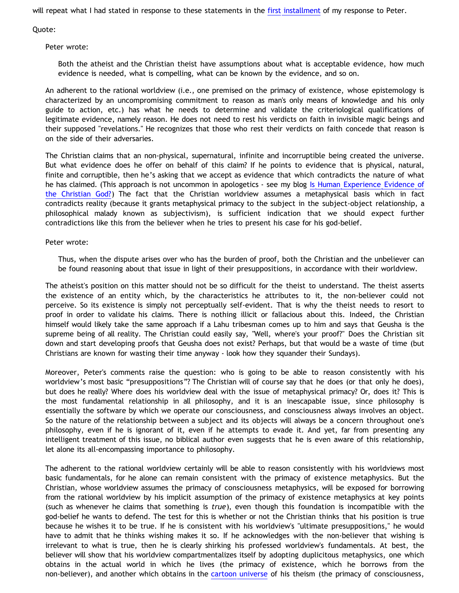will repeat what I had stated in response to these statements in the [first installment](http://bahnsenburner.blogspot.com/2008/02/presuppositionalism-and-evasion-of.html) of my response to Peter.

Quote:

Peter wrote:

Both the atheist and the Christian theist have assumptions about what is acceptable evidence, how much evidence is needed, what is compelling, what can be known by the evidence, and so on.

An adherent to the rational worldview (i.e., one premised on the primacy of existence, whose epistemology is characterized by an uncompromising commitment to reason as man's only means of knowledge and his only guide to action, etc.) has what he needs to determine and validate the criteriological qualifications of legitimate evidence, namely reason. He does not need to rest his verdicts on faith in invisible magic beings and their supposed "revelations." He recognizes that those who rest their verdicts on faith concede that reason is on the side of their adversaries.

The Christian claims that an non-physical, supernatural, infinite and incorruptible being created the universe. But what evidence does he offer on behalf of this claim? If he points to evidence that is physical, natural, finite and corruptible, then he's asking that we accept as evidence that which contradicts the nature of what he has claimed. (This approach is not uncommon in apologetics - see my blog [Is Human Experience Evidence of](http://bahnsenburner.blogspot.com/2005/06/is-human-experience-evidence-of.html) [the Christian God?\)](http://bahnsenburner.blogspot.com/2005/06/is-human-experience-evidence-of.html) The fact that the Christian worldview assumes a metaphysical basis which in fact contradicts reality (because it grants metaphysical primacy to the subject in the subject-object relationship, a philosophical malady known as subjectivism), is sufficient indication that we should expect further contradictions like this from the believer when he tries to present his case for his god-belief.

Peter wrote:

Thus, when the dispute arises over who has the burden of proof, both the Christian and the unbeliever can be found reasoning about that issue in light of their presuppositions, in accordance with their worldview.

The atheist's position on this matter should not be so difficult for the theist to understand. The theist asserts the existence of an entity which, by the characteristics he attributes to it, the non-believer could not perceive. So its existence is simply not perceptually self-evident. That is why the theist needs to resort to proof in order to validate his claims. There is nothing illicit or fallacious about this. Indeed, the Christian himself would likely take the same approach if a Lahu tribesman comes up to him and says that Geusha is the supreme being of all reality. The Christian could easily say, "Well, where's your proof?" Does the Christian sit down and start developing proofs that Geusha does not exist? Perhaps, but that would be a waste of time (but Christians are known for wasting their time anyway - look how they squander their Sundays).

Moreover, Peter's comments raise the question: who is going to be able to reason consistently with his worldview's most basic "presuppositions"? The Christian will of course say that he does (or that only he does), but does he really? Where does his worldview deal with the issue of metaphysical primacy? Or, does it? This is the most fundamental relationship in all philosophy, and it is an inescapable issue, since philosophy is essentially the software by which we operate our consciousness, and consciousness always involves an object. So the nature of the relationship between a subject and its objects will always be a concern throughout one's philosophy, even if he is ignorant of it, even if he attempts to evade it. And yet, far from presenting any intelligent treatment of this issue, no biblical author even suggests that he is even aware of this relationship, let alone its all-encompassing importance to philosophy.

The adherent to the rational worldview certainly will be able to reason consistently with his worldviews most basic fundamentals, for he alone can remain consistent with the primacy of existence metaphysics. But the Christian, whose worldview assumes the primacy of consciousness metaphysics, will be exposed for borrowing from the rational worldview by his implicit assumption of the primacy of existence metaphysics at key points (such as whenever he claims that something is *true*), even though this foundation is incompatible with the god-belief he wants to defend. The test for this is whether or not the Christian thinks that his position is true because he wishes it to be true. If he is consistent with his worldview's "ultimate presuppositions," he would have to admit that he thinks wishing makes it so. If he acknowledges with the non-believer that wishing is irrelevant to what is true, then he is clearly shirking his professed worldview's fundamentals. At best, the believer will show that his worldview compartmentalizes itself by adopting duplicitous metaphysics, one which obtains in the actual world in which he lives (the primacy of existence, which he borrows from the non-believer), and another which obtains in the [cartoon universe](http://www.strongatheism.net/library/atheology/cartoon_universe_of_theism/) of his theism (the primacy of consciousness,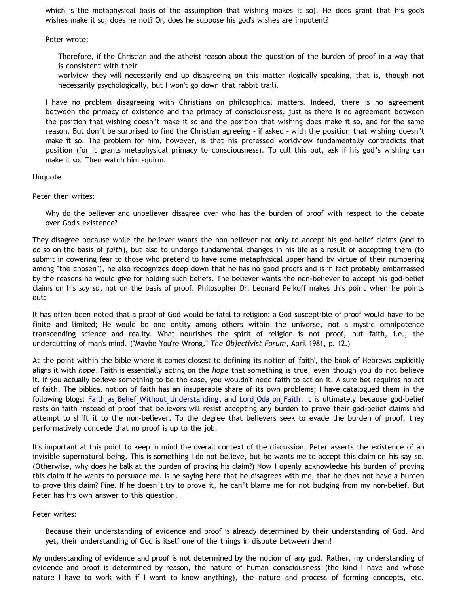which is the metaphysical basis of the assumption that wishing makes it so). He does grant that his god's wishes make it so, does he not? Or, does he suppose his god's wishes are impotent?

Peter wrote:

Therefore, if the Christian and the atheist reason about the question of the burden of proof in a way that is consistent with their

worlview they will necessarily end up disagreeing on this matter (logically speaking, that is, though not necessarily psychologically, but I won't go down that rabbit trail).

I have no problem disagreeing with Christians on philosophical matters. Indeed, there is no agreement between the primacy of existence and the primacy of consciousness, just as there is no agreement between the position that wishing doesn't make it so and the position that wishing does make it so, and for the same reason. But don't be surprised to find the Christian agreeing – if asked – with the position that wishing doesn't make it so. The problem for him, however, is that his professed worldview fundamentally contradicts that position (for it grants metaphysical primacy to consciousness). To cull this out, ask if his god's wishing can make it so. Then watch him squirm.

# Unquote

Peter then writes:

Why do the believer and unbeliever disagree over who has the burden of proof with respect to the debate over God's existence?

They disagree because while the believer wants the non-believer not only to accept his god-belief claims (and to do so on the basis of *faith*), but also to undergo fundamental changes in his life as a result of accepting them (to submit in cowering fear to those who pretend to have some metaphysical upper hand by virtue of their numbering among "the chosen"), he also recognizes deep down that he has no good proofs and is in fact probably embarrassed by the reasons he would give for holding such beliefs. The believer wants the non-believer to accept his god-belief claims on his *say so*, not on the basis of proof. Philosopher Dr. Leonard Peikoff makes this point when he points out:

It has often been noted that a proof of God would be fatal to religion: a God susceptible of proof would have to be finite and limited; He would be one entity among others within the universe, not a mystic omnipotence transcending science and reality. What nourishes the spirit of religion is not proof, but faith, i.e., the undercutting of man's mind. ("Maybe You're Wrong," *The Objectivist Forum*, April 1981, p. 12.)

At the point within the bible where it comes closest to defining its notion of 'faith', the book of Hebrews explicitly aligns it with *hope*. Faith is essentially acting on the *hope* that something is true, even though you do not believe it. If you actually believe something to be the case, you wouldn't need faith to act on it. A sure bet requires no act of faith. The biblical notion of faith has an insuperable share of its own problems; I have catalogued them in the following blogs: [Faith as Belief Without Understanding](http://bahnsenburner.blogspot.com/2007/01/faith-as-belief-without-understanding.html), and [Lord Oda on Faith](http://bahnsenburner.blogspot.com/2007/10/lord-oda-on-faith.html). It is ultimately because god-belief rests on faith instead of proof that believers will resist accepting any burden to prove their god-belief claims and attempt to shift it to the non-believer. To the degree that believers seek to evade the burden of proof, they performatively concede that no proof is up to the job.

It's important at this point to keep in mind the overall context of the discussion. Peter asserts the existence of an invisible supernatural being. This is something I do not believe, but he wants me to accept this claim on his say so. (Otherwise, why does he balk at the burden of proving his claim?) Now I openly acknowledge his burden of proving this claim if he wants to persuade me. Is he saying here that he disagrees with me, that he does not have a burden to prove this claim? Fine. If he doesn't try to prove it, he can't blame me for not budging from my non-belief. But Peter has his own answer to this question.

# Peter writes:

Because their understanding of evidence and proof is already determined by their understanding of God. And yet, their understanding of God is itself one of the things in dispute between them!

My understanding of evidence and proof is not determined by the notion of any god. Rather, my understanding of evidence and proof is determined by reason, the nature of human consciousness (the kind I have and whose nature I have to work with if I want to know anything), the nature and process of forming concepts, etc.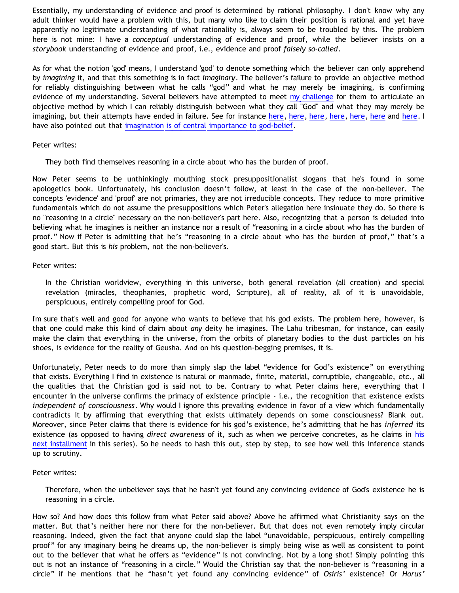Essentially, my understanding of evidence and proof is determined by rational philosophy. I don't know why any adult thinker would have a problem with this, but many who like to claim their position is rational and yet have apparently no legitimate understanding of what rationality is, always seem to be troubled by this. The problem here is not mine: I have a *conceptual* understanding of evidence and proof, while the believer insists on a *storybook* understanding of evidence and proof, i.e., evidence and proof *falsely so-called*.

As for what the notion 'god' means, I understand 'god' to denote something which the believer can only apprehend by *imagining* it, and that this something is in fact *imaginary*. The believer's failure to provide an objective method for reliably distinguishing between what he calls "god" and what he may merely be imagining, is confirming evidence of my understanding. Several believers have attempted to meet [my challenge](http://bahnsenburner.blogspot.com/2007/12/my-chat-with-presuppositionalist.html) for them to articulate an objective method by which I can reliably distinguish between what they call "God" and what they may merely be imagining, but their attempts have ended in failure. See for instance [here](http://bahnsenburner.blogspot.com/2008/01/imaginative-basis-of-vytautas-god_18.html), [here,](http://bahnsenburner.blogspot.com/2008/01/imaginative-basis-of-vytautas-god_14.html) here, here, here, [here](http://bahnsenburner.blogspot.com/2008/01/imaginative-basis-of-vytautas-god_17.html) and here. I have also pointed out that [imagination is of central importance to god-belief](http://bahnsenburner.blogspot.com/2007/07/role-of-imagination-in-christian-god.html).

#### Peter writes:

They both find themselves reasoning in a circle about who has the burden of proof.

Now Peter seems to be unthinkingly mouthing stock presuppositionalist slogans that he's found in some apologetics book. Unfortunately, his conclusion doesn't follow, at least in the case of the non-believer. The concepts 'evidence' and 'proof' are not primaries, they are not irreducible concepts. They reduce to more primitive fundamentals which do not assume the presuppositions which Peter's allegation here insinuate they do. So there is no "reasoning in a circle" necessary on the non-believer's part here. Also, recognizing that a person is deluded into believing what he imagines is neither an instance nor a result of "reasoning in a circle about who has the burden of proof." Now if Peter is admitting that he's "reasoning in a circle about who has the burden of proof," that's a good start. But this is *his* problem, not the non-believer's.

#### Peter writes:

In the Christian worldview, everything in this universe, both general revelation (all creation) and special revelation (miracles, theophanies, prophetic word, Scripture), all of reality, all of it is unavoidable, perspicuous, entirely compelling proof for God.

I'm sure that's well and good for anyone who wants to believe that his god exists. The problem here, however, is that one could make this kind of claim about *any* deity he imagines. The Lahu tribesman, for instance, can easily make the claim that everything in the universe, from the orbits of planetary bodies to the dust particles on his shoes, is evidence for the reality of Geusha. And on his question-begging premises, it is.

Unfortunately, Peter needs to do more than simply slap the label "evidence for God's existence" on everything that exists. Everything I find in existence is natural or manmade, finite, material, corruptible, changeable, etc., all the qualities that the Christian god is said not to be. Contrary to what Peter claims here, everything that I encounter in the universe confirms the primacy of existence principle - i.e., the recognition that existence exists *independent of consciousness*. Why would I ignore this prevailing evidence in favor of a view which fundamentally contradicts it by affirming that everything that exists ultimately depends on some consciousness? Blank out. Moreover, since Peter claims that there is evidence for his god's existence, he's admitting that he has *inferred* its existence (as opposed to having *direct awareness* of it, such as when we perceive concretes, as he claims in [his](http://gregbahnsen.blogspot.com/2007/06/christianity-vs-atheism-and-burden-of_28.html) [next installment](http://gregbahnsen.blogspot.com/2007/06/christianity-vs-atheism-and-burden-of_28.html) in this series). So he needs to hash this out, step by step, to see how well this inference stands up to scrutiny.

#### Peter writes:

Therefore, when the unbeliever says that he hasn't yet found any convincing evidence of God's existence he is reasoning in a circle.

How so? And how does this follow from what Peter said above? Above he affirmed what Christianity says on the matter. But that's neither here nor there for the non-believer. But that does not even remotely imply circular reasoning. Indeed, given the fact that anyone could slap the label "unavoidable, perspicuous, entirely compelling proof" for any imaginary being he dreams up, the non-believer is simply being wise as well as consistent to point out to the believer that what he offers as "evidence" is not convincing. Not by a long shot! Simply pointing this out is not an instance of "reasoning in a circle." Would the Christian say that the non-believer is "reasoning in a circle" if he mentions that he "hasn't yet found any convincing evidence" of *Osiris'* existence? Or *Horus'*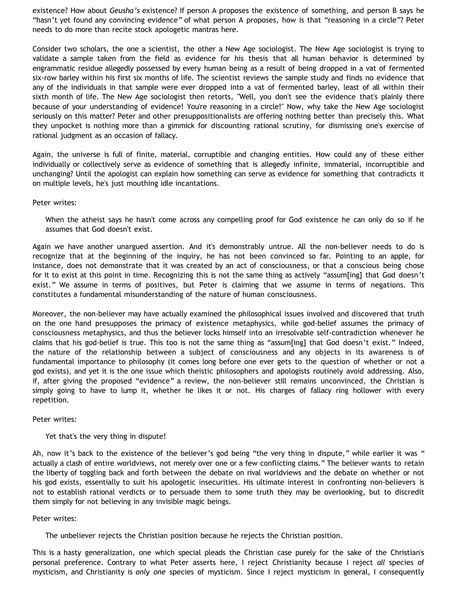existence? How about *Geusha's* existence? If person A proposes the existence of something, and person B says he "hasn't yet found any convincing evidence" of what person A proposes, how is that "reasoning in a circle"? Peter needs to do more than recite stock apologetic mantras here.

Consider two scholars, the one a scientist, the other a New Age sociologist. The New Age sociologist is trying to validate a sample taken from the field as evidence for his thesis that all human behavior is determined by engrammatic residue allegedly possessed by every human being as a result of being dropped in a vat of fermented six-row barley within his first six months of life. The scientist reviews the sample study and finds no evidence that any of the individuals in that sample were ever dropped into a vat of fermented barley, least of all within their sixth month of life. The New Age sociologist then retorts, "Well, you don't see the evidence that's plainly there because of your understanding of evidence! You're reasoning in a circle!" Now, why take the New Age sociologist seriously on this matter? Peter and other presuppositionalists are offering nothing better than precisely this. What they unpocket is nothing more than a gimmick for discounting rational scrutiny, for dismissing one's exercise of rational judgment as an occasion of fallacy.

Again, the universe is full of finite, material, corruptible and changing entities. How could any of these either individually or collectively serve as evidence of something that is allegedly infinite, immaterial, incorruptible and unchanging? Until the apologist can explain how something can serve as evidence for something that contradicts it on multiple levels, he's just mouthing idle incantations.

Peter writes:

When the atheist says he hasn't come across any compelling proof for God existence he can only do so if he assumes that God doesn't exist.

Again we have another unargued assertion. And it's demonstrably untrue. All the non-believer needs to do is recognize that at the beginning of the inquiry, he has not been convinced so far. Pointing to an apple, for instance, does not demonstrate that it was created by an act of consciousness, or that a conscious being chose for it to exist at this point in time. Recognizing this is not the same thing as actively "assum[ing] that God doesn't exist." We assume in terms of positives, but Peter is claiming that we assume in terms of negations. This constitutes a fundamental misunderstanding of the nature of human consciousness.

Moreover, the non-believer may have actually examined the philosophical issues involved and discovered that truth on the one hand presupposes the primacy of existence metaphysics, while god-belief assumes the primacy of consciousness metaphysics, and thus the believer locks himself into an irresolvable self-contradiction whenever he claims that his god-belief is true. This too is not the same thing as "assum[ing] that God doesn't exist." Indeed, the nature of the relationship between a subject of consciousness and any objects in its awareness is of fundamental importance to philosophy (it comes long before one ever gets to the question of whether or not a god exists), and yet it is the one issue which theistic philosophers and apologists routinely avoid addressing. Also, if, after giving the proposed "evidence" a review, the non-believer still remains unconvinced, the Christian is simply going to have to lump it, whether he likes it or not. His charges of fallacy ring hollower with every repetition.

#### Peter writes:

Yet that's the very thing in dispute!

Ah, now it's back to the existence of the believer's god being "the very thing in dispute," while earlier it was " actually a clash of entire worldviews, not merely over one or a few conflicting claims." The believer wants to retain the liberty of toggling back and forth between the debate on rival worldviews and the debate on whether or not his god exists, essentially to suit his apologetic insecurities. His ultimate interest in confronting non-believers is not to establish rational verdicts or to persuade them to some truth they may be overlooking, but to discredit them simply for not believing in any invisible magic beings.

#### Peter writes:

The unbeliever rejects the Christian position because he rejects the Christian position.

This is a hasty generalization, one which special pleads the Christian case purely for the sake of the Christian's personal preference. Contrary to what Peter asserts here, I reject Christianity because I reject *all* species of mysticism, and Christianity is *only one* species of mysticism. Since I reject mysticism in general, I consequently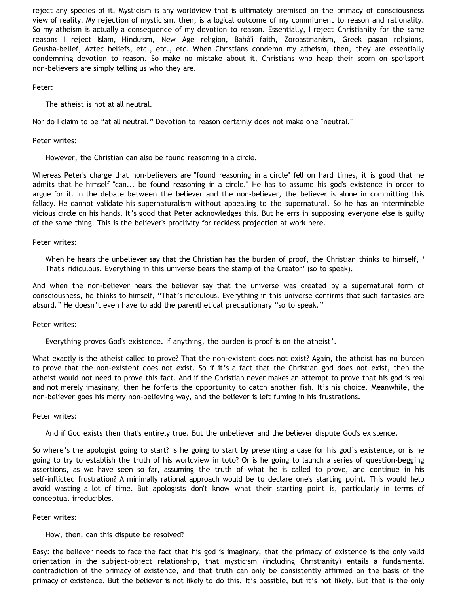reject any species of it. Mysticism is any worldview that is ultimately premised on the primacy of consciousness view of reality. My rejection of mysticism, then, is a logical outcome of my commitment to reason and rationality. So my atheism is actually a consequence of my devotion to reason. Essentially, I reject Christianity for the same reasons I reject Islam, Hinduism, New Age religion, Bahá'í faith, Zoroastrianism, Greek pagan religions, Geusha-belief, Aztec beliefs, etc., etc., etc. When Christians condemn my atheism, then, they are essentially condemning devotion to reason. So make no mistake about it, Christians who heap their scorn on spoilsport non-believers are simply telling us who they are.

# Peter:

The atheist is not at all neutral.

Nor do I claim to be "at all neutral." Devotion to reason certainly does not make one "neutral."

# Peter writes:

However, the Christian can also be found reasoning in a circle.

Whereas Peter's charge that non-believers are "found reasoning in a circle" fell on hard times, it is good that he admits that he himself "can... be found reasoning in a circle." He has to assume his god's existence in order to argue for it. In the debate between the believer and the non-believer, the believer is alone in committing this fallacy. He cannot validate his supernaturalism without appealing to the supernatural. So he has an interminable vicious circle on his hands. It's good that Peter acknowledges this. But he errs in supposing everyone else is guilty of the same thing. This is the believer's proclivity for reckless projection at work here.

# Peter writes:

When he hears the unbeliever say that the Christian has the burden of proof, the Christian thinks to himself, ' That's ridiculous. Everything in this universe bears the stamp of the Creator' (so to speak).

And when the non-believer hears the believer say that the universe was created by a supernatural form of consciousness, he thinks to himself, "That's ridiculous. Everything in this universe confirms that such fantasies are absurd." He doesn't even have to add the parenthetical precautionary "so to speak."

# Peter writes:

Everything proves God's existence. If anything, the burden is proof is on the atheist'.

What exactly is the atheist called to prove? That the non-existent does not exist? Again, the atheist has no burden to prove that the non-existent does not exist. So if it's a fact that the Christian god does not exist, then the atheist would not need to prove this fact. And if the Christian never makes an attempt to prove that his god is real and not merely imaginary, then he forfeits the opportunity to catch another fish. It's his choice. Meanwhile, the non-believer goes his merry non-believing way, and the believer is left fuming in his frustrations.

# Peter writes:

And if God exists then that's entirely true. But the unbeliever and the believer dispute God's existence.

So where's the apologist going to start? Is he going to start by presenting a case for his god's existence, or is he going to try to establish the truth of his worldview in toto? Or is he going to launch a series of question-begging assertions, as we have seen so far, assuming the truth of what he is called to prove, and continue in his self-inflicted frustration? A minimally rational approach would be to declare one's starting point. This would help avoid wasting a lot of time. But apologists don't know what their starting point is, particularly in terms of conceptual irreducibles.

# Peter writes:

# How, then, can this dispute be resolved?

Easy: the believer needs to face the fact that his god is imaginary, that the primacy of existence is the only valid orientation in the subject-object relationship, that mysticism (including Christianity) entails a fundamental contradiction of the primacy of existence, and that truth can only be consistently affirmed on the basis of the primacy of existence. But the believer is not likely to do this. It's possible, but it's not likely. But that is the only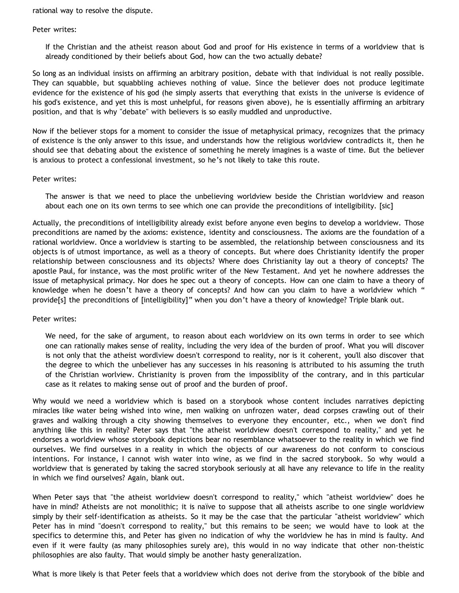rational way to resolve the dispute.

#### Peter writes:

If the Christian and the atheist reason about God and proof for His existence in terms of a worldview that is already conditioned by their beliefs about God, how can the two actually debate?

So long as an individual insists on affirming an arbitrary position, debate with that individual is not really possible. They can squabble, but squabbling achieves nothing of value. Since the believer does not produce legitimate evidence for the existence of his god (he simply asserts that everything that exists in the universe is evidence of his god's existence, and yet this is most unhelpful, for reasons given above), he is essentially affirming an arbitrary position, and that is why "debate" with believers is so easily muddled and unproductive.

Now if the believer stops for a moment to consider the issue of metaphysical primacy, recognizes that the primacy of existence is the only answer to this issue, and understands how the religious worldview contradicts it, then he should see that debating about the existence of something he merely imagines is a waste of time. But the believer is anxious to protect a confessional investment, so he's not likely to take this route.

#### Peter writes:

The answer is that we need to place the unbelieving worldview beside the Christian worldview and reason about each one on its own terms to see which one can provide the preconditions of intellgibility. [sic]

Actually, the preconditions of intelligibility already exist before anyone even begins to develop a worldview. Those preconditions are named by the axioms: existence, identity and consciousness. The axioms are the foundation of a rational worldview. Once a worldview is starting to be assembled, the relationship between consciousness and its objects is of utmost importance, as well as a theory of concepts. But where does Christianity identify the proper relationship between consciousness and its objects? Where does Christianity lay out a theory of concepts? The apostle Paul, for instance, was the most prolific writer of the New Testament. And yet he nowhere addresses the issue of metaphysical primacy. Nor does he spec out a theory of concepts. How can one claim to have a theory of knowledge when he doesn't have a theory of concepts? And how can you claim to have a worldview which " provide[s] the preconditions of [intelligibility]" when you don't have a theory of knowledge? Triple blank out.

# Peter writes:

We need, for the sake of argument, to reason about each worldview on its own terms in order to see which one can rationally makes sense of reality, including the very idea of the burden of proof. What you will discover is not only that the atheist wordlview doesn't correspond to reality, nor is it coherent, you'll also discover that the degree to which the unbeliever has any successes in his reasoning is attributed to his assuming the truth of the Christian worlview. Christianity is proven from the impossiblity of the contrary, and in this particular case as it relates to making sense out of proof and the burden of proof.

Why would we need a worldview which is based on a storybook whose content includes narratives depicting miracles like water being wished into wine, men walking on unfrozen water, dead corpses crawling out of their graves and walking through a city showing themselves to everyone they encounter, etc., when we don't find anything like this in reality? Peter says that "the atheist worldview doesn't correspond to reality," and yet he endorses a worldview whose storybook depictions bear no resemblance whatsoever to the reality in which we find ourselves. We find ourselves in a reality in which the objects of our awareness do not conform to conscious intentions. For instance, I cannot wish water into wine, as we find in the sacred storybook. So why would a worldview that is generated by taking the sacred storybook seriously at all have any relevance to life in the reality in which we find ourselves? Again, blank out.

When Peter says that "the atheist worldview doesn't correspond to reality," which "atheist worldview" does he have in mind? Atheists are not monolithic; it is naïve to suppose that all atheists ascribe to one single worldview simply by their self-identification as atheists. So it may be the case that the particular "atheist worldview" which Peter has in mind "doesn't correspond to reality," but this remains to be seen; we would have to look at the specifics to determine this, and Peter has given no indication of why the worldview he has in mind is faulty. And even if it were faulty (as many philosophies surely are), this would in no way indicate that other non-theistic philosophies are also faulty. That would simply be another hasty generalization.

What is more likely is that Peter feels that a worldview which does not derive from the storybook of the bible and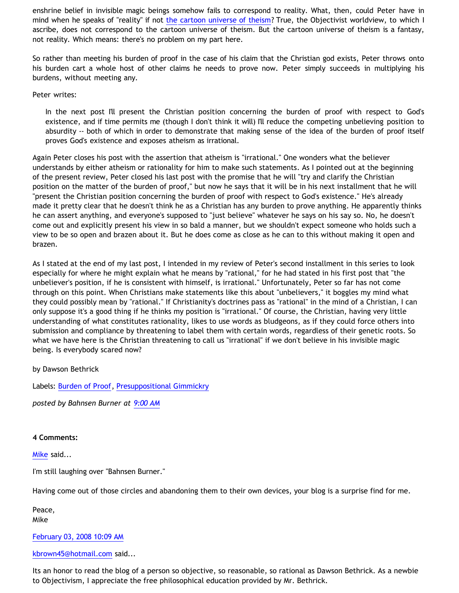enshrine belief in invisible magic beings somehow fails to correspond to reality. What, then, could Peter have in mind when he speaks of "reality" if not [the cartoon universe of theism](http://www.strongatheism.net/library/atheology/cartoon_universe_of_theism/)? True, the Objectivist worldview, to which I ascribe, does not correspond to the cartoon universe of theism. But the cartoon universe of theism is a fantasy, not reality. Which means: there's no problem on my part here.

So rather than meeting his burden of proof in the case of his claim that the Christian god exists, Peter throws onto his burden cart a whole host of other claims he needs to prove now. Peter simply succeeds in multiplying his burdens, without meeting any.

Peter writes:

In the next post I'll present the Christian position concerning the burden of proof with respect to God's existence, and if time permits me (though I don't think it will) I'll reduce the competing unbelieving position to absurdity -- both of which in order to demonstrate that making sense of the idea of the burden of proof itself proves God's existence and exposes atheism as irrational.

Again Peter closes his post with the assertion that atheism is "irrational." One wonders what the believer understands by either atheism or rationality for him to make such statements. As I pointed out at the beginning of the present review, Peter closed his last post with the promise that he will "try and clarify the Christian position on the matter of the burden of proof," but now he says that it will be in his next installment that he will "present the Christian position concerning the burden of proof with respect to God's existence." He's already made it pretty clear that he doesn't think he as a Christian has any burden to prove anything. He apparently thinks he can assert anything, and everyone's supposed to "just believe" whatever he says on his say so. No, he doesn't come out and explicitly present his view in so bald a manner, but we shouldn't expect someone who holds such a view to be so open and brazen about it. But he does come as close as he can to this without making it open and brazen.

As I stated at the end of my last post, I intended in my review of Peter's second installment in this series to look especially for where he might explain what he means by "rational," for he had stated in his first post that "the unbeliever's position, if he is consistent with himself, is irrational." Unfortunately, Peter so far has not come through on this point. When Christians make statements like this about "unbelievers," it boggles my mind what they could possibly mean by "rational." If Christianity's doctrines pass as "rational" in the mind of a Christian, I can only suppose it's a good thing if he thinks my position is "irrational." Of course, the Christian, having very little understanding of what constitutes rationality, likes to use words as bludgeons, as if they could force others into submission and compliance by threatening to label them with certain words, regardless of their genetic roots. So what we have here is the Christian threatening to call us "irrational" if we don't believe in his invisible magic being. Is everybody scared now?

by Dawson Bethrick

Labels: [Burden of Proof,](http://bahnsenburner.blogspot.com/search/label/Burden%20of%20Proof) [Presuppositional Gimmickry](http://bahnsenburner.blogspot.com/search/label/Presuppositional%20Gimmickry)

*posted by Bahnsen Burner at [9:00 AM](http://bahnsenburner.blogspot.com/2008/02/presuppositionalism-and-evasion-of_03.html)*

# **4 Comments:**

[Mike](http://www.blogger.com/profile/01184741808524643182) said...

I'm still laughing over "Bahnsen Burner."

Having come out of those circles and abandoning them to their own devices, your blog is a surprise find for me.

Peace, Mike

# [February 03, 2008 10:09 AM](http://bahnsenburner.blogspot.com/2008/02/1982120542290636158)

[kbrown45@hotmail.com](http://www.blogger.com/profile/04581136429971160522) said...

Its an honor to read the blog of a person so objective, so reasonable, so rational as Dawson Bethrick. As a newbie to Objectivism, I appreciate the free philosophical education provided by Mr. Bethrick.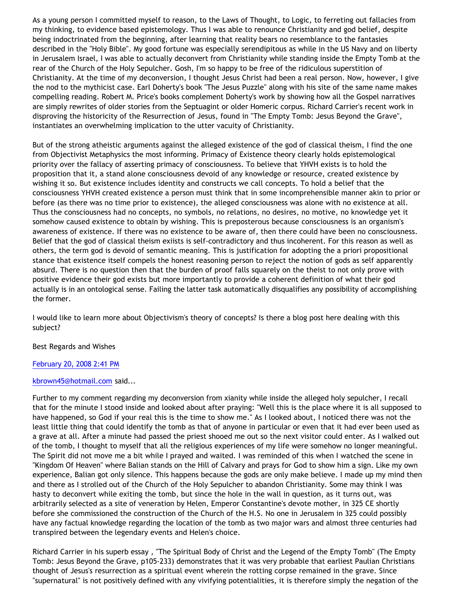As a young person I committed myself to reason, to the Laws of Thought, to Logic, to ferreting out fallacies from my thinking, to evidence based epistemology. Thus I was able to renounce Christianity and god belief, despite being indoctrinated from the beginning, after learning that reality bears no resemblance to the fantasies described in the "Holy Bible". My good fortune was especially serendipitous as while in the US Navy and on liberty in Jerusalem Israel, I was able to actually deconvert from Christianity while standing inside the Empty Tomb at the rear of the Church of the Holy Sepulcher. Gosh, I'm so happy to be free of the ridiculous superstition of Christianity. At the time of my deconversion, I thought Jesus Christ had been a real person. Now, however, I give the nod to the mythicist case. Earl Doherty's book "The Jesus Puzzle" along with his site of the same name makes compelling reading. Robert M. Price's books complement Doherty's work by showing how all the Gospel narratives are simply rewrites of older stories from the Septuagint or older Homeric corpus. Richard Carrier's recent work in disproving the historicity of the Resurrection of Jesus, found in "The Empty Tomb: Jesus Beyond the Grave", instantiates an overwhelming implication to the utter vacuity of Christianity.

But of the strong atheistic arguments against the alleged existence of the god of classical theism, I find the one from Objectivist Metaphysics the most informing. Primacy of Existence theory clearly holds epistemological priority over the fallacy of asserting primacy of consciousness. To believe that YHVH exists is to hold the proposition that it, a stand alone consciousness devoid of any knowledge or resource, created existence by wishing it so. But existence includes identity and constructs we call concepts. To hold a belief that the consciousness YHVH created existence a person must think that in some incomprehensible manner akin to prior or before (as there was no time prior to existence), the alleged consciousness was alone with no existence at all. Thus the consciousness had no concepts, no symbols, no relations, no desires, no motive, no knowledge yet it somehow caused existence to obtain by wishing. This is preposterous because consciousness is an organism's awareness of existence. If there was no existence to be aware of, then there could have been no consciousness. Belief that the god of classical theism exiists is self-contradictory and thus incoherent. For this reason as well as others, the term god is devoid of semantic meaning. This is justification for adopting the a priori propositional stance that existence itself compels the honest reasoning person to reject the notion of gods as self apparently absurd. There is no question then that the burden of proof falls squarely on the theist to not only prove with positive evidence their god exists but more importantly to provide a coherent definition of what their god actually is in an ontological sense. Failing the latter task automatically disqualifies any possibility of accomplishing the former.

I would like to learn more about Objectivism's theory of concepts? Is there a blog post here dealing with this subject?

# Best Regards and Wishes

# [February 20, 2008 2:41 PM](http://bahnsenburner.blogspot.com/2008/02/8421240885249281141)

# [kbrown45@hotmail.com](http://www.blogger.com/profile/04581136429971160522) said...

Further to my comment regarding my deconversion from xianity while inside the alleged holy sepulcher, I recall that for the minute I stood inside and looked about after praying: "Well this is the place where it is all supposed to have happened, so God if your real this is the time to show me." As I looked about, I noticed there was not the least little thing that could identify the tomb as that of anyone in particular or even that it had ever been used as a grave at all. After a minute had passed the priest shooed me out so the next visitor could enter. As I walked out of the tomb, I thought to myself that all the religious experiences of my life were somehow no longer meaningful. The Spirit did not move me a bit while I prayed and waited. I was reminded of this when I watched the scene in "Kingdom Of Heaven" where Balian stands on the Hill of Calvary and prays for God to show him a sign. Like my own experience, Balian got only silence. This happens because the gods are only make believe. I made up my mind then and there as I strolled out of the Church of the Holy Sepulcher to abandon Christianity. Some may think I was hasty to deconvert while exiting the tomb, but since the hole in the wall in question, as it turns out, was arbitrarily selected as a site of veneration by Helen, Emperor Constantine's devote mother, in 325 CE shortly before she commissioned the construction of the Church of the H.S. No one in Jerusalem in 325 could possibly have any factual knowledge regarding the location of the tomb as two major wars and almost three centuries had transpired between the legendary events and Helen's choice.

Richard Carrier in his superb essay , "The Spiritual Body of Christ and the Legend of the Empty Tomb" (The Empty Tomb: Jesus Beyond the Grave, p105-233) demonstrates that it was very probable that earliest Paulian Christians thought of Jesus's resurrection as a spiritual event wherein the rotting corpse remained in the grave. Since "supernatural" is not positively defined with any vivifying potentialities, it is therefore simply the negation of the